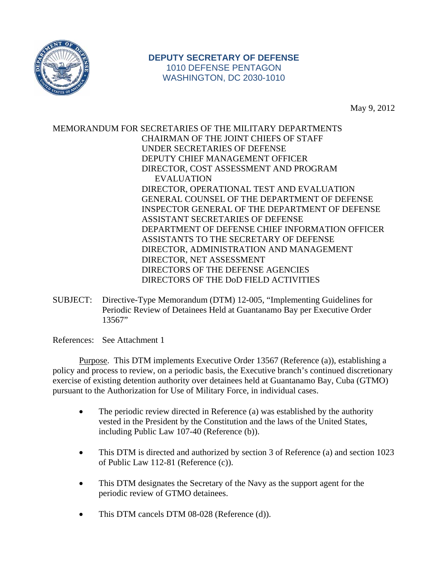

## **DEPUTY SECRETARY OF DEFENSE**  1010 DEFENSE PENTAGON WASHINGTON, DC 2030-1010

May 9, 2012

MEMORANDUM FOR SECRETARIES OF THE MILITARY DEPARTMENTS CHAIRMAN OF THE JOINT CHIEFS OF STAFF UNDER SECRETARIES OF DEFENSE DEPUTY CHIEF MANAGEMENT OFFICER DIRECTOR, COST ASSESSMENT AND PROGRAM EVALUATION DIRECTOR, OPERATIONAL TEST AND EVALUATION GENERAL COUNSEL OF THE DEPARTMENT OF DEFENSE INSPECTOR GENERAL OF THE DEPARTMENT OF DEFENSE ASSISTANT SECRETARIES OF DEFENSE DEPARTMENT OF DEFENSE CHIEF INFORMATION OFFICER ASSISTANTS TO THE SECRETARY OF DEFENSE DIRECTOR, ADMINISTRATION AND MANAGEMENT DIRECTOR, NET ASSESSMENT DIRECTORS OF THE DEFENSE AGENCIES DIRECTORS OF THE DoD FIELD ACTIVITIES

SUBJECT: Directive-Type Memorandum (DTM) 12-005, "Implementing Guidelines for Periodic Review of Detainees Held at Guantanamo Bay per Executive Order 13567"

References: See Attachment 1

Purpose. This DTM implements Executive Order 13567 (Reference (a)), establishing a policy and process to review, on a periodic basis, the Executive branch's continued discretionary exercise of existing detention authority over detainees held at Guantanamo Bay, Cuba (GTMO) pursuant to the Authorization for Use of Military Force, in individual cases.

- The periodic review directed in Reference (a) was established by the authority vested in the President by the Constitution and the laws of the United States, including Public Law 107-40 (Reference (b)).
- This DTM is directed and authorized by section 3 of Reference (a) and section 1023 of Public Law 112-81 (Reference (c)).
- This DTM designates the Secretary of the Navy as the support agent for the periodic review of GTMO detainees.
- This DTM cancels DTM 08-028 (Reference (d)).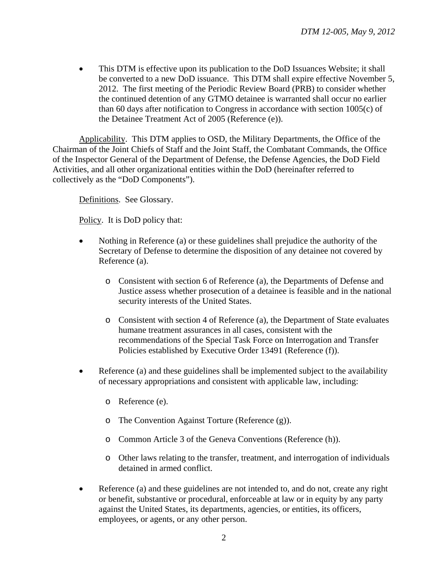• This DTM is effective upon its publication to the DoD Issuances Website; it shall be converted to a new DoD issuance. This DTM shall expire effective November 5, 2012. The first meeting of the Periodic Review Board (PRB) to consider whether the continued detention of any GTMO detainee is warranted shall occur no earlier than 60 days after notification to Congress in accordance with section 1005(c) of the Detainee Treatment Act of 2005 (Reference (e)).

Applicability. This DTM applies to OSD, the Military Departments, the Office of the Chairman of the Joint Chiefs of Staff and the Joint Staff, the Combatant Commands, the Office of the Inspector General of the Department of Defense, the Defense Agencies, the DoD Field Activities, and all other organizational entities within the DoD (hereinafter referred to collectively as the "DoD Components").

Definitions. See Glossary.

Policy. It is DoD policy that:

- Nothing in Reference (a) or these guidelines shall prejudice the authority of the Secretary of Defense to determine the disposition of any detainee not covered by Reference (a).
	- o Consistent with section 6 of Reference (a), the Departments of Defense and Justice assess whether prosecution of a detainee is feasible and in the national security interests of the United States.
	- o Consistent with section 4 of Reference (a), the Department of State evaluates humane treatment assurances in all cases, consistent with the recommendations of the Special Task Force on Interrogation and Transfer Policies established by Executive Order 13491 (Reference (f)).
- Reference (a) and these guidelines shall be implemented subject to the availability of necessary appropriations and consistent with applicable law, including:
	- o Reference (e).
	- o The Convention Against Torture (Reference (g)).
	- o Common Article 3 of the Geneva Conventions (Reference (h)).
	- o Other laws relating to the transfer, treatment, and interrogation of individuals detained in armed conflict.
- Reference (a) and these guidelines are not intended to, and do not, create any right or benefit, substantive or procedural, enforceable at law or in equity by any party against the United States, its departments, agencies, or entities, its officers, employees, or agents, or any other person.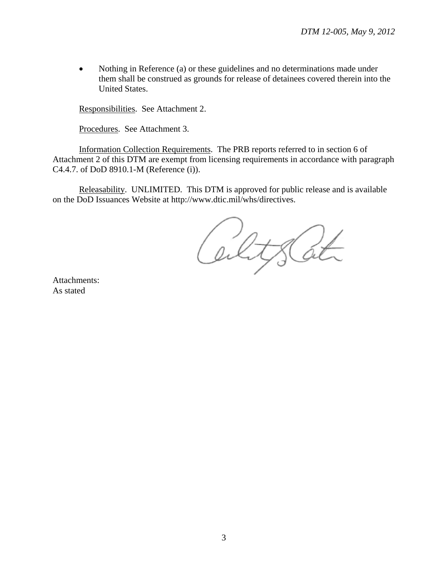• Nothing in Reference (a) or these guidelines and no determinations made under them shall be construed as grounds for release of detainees covered therein into the United States.

Responsibilities. See Attachment 2.

Procedures. See Attachment 3.

Information Collection Requirements. The PRB reports referred to in section 6 of Attachment 2 of this DTM are exempt from licensing requirements in accordance with paragraph C4.4.7. of DoD 8910.1-M (Reference (i)).

Releasability. UNLIMITED. This DTM is approved for public release and is available on the DoD Issuances Website at http://www.dtic.mil/whs/directives.

CultsCat

Attachments: As stated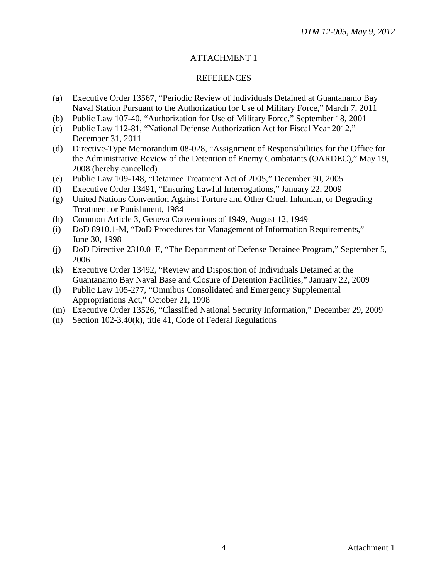## ATTACHMENT 1

#### REFERENCES

- (a) Executive Order 13567, "Periodic Review of Individuals Detained at Guantanamo Bay Naval Station Pursuant to the Authorization for Use of Military Force," March 7, 2011
- (b) Public Law 107-40, "Authorization for Use of Military Force," September 18, 2001
- (c) Public Law 112-81, "National Defense Authorization Act for Fiscal Year 2012," December 31, 2011
- (d) Directive-Type Memorandum 08-028, "Assignment of Responsibilities for the Office for the Administrative Review of the Detention of Enemy Combatants (OARDEC)," May 19, 2008 (hereby cancelled)
- (e) Public Law 109-148, "Detainee Treatment Act of 2005," December 30, 2005
- (f) Executive Order 13491, "Ensuring Lawful Interrogations," January 22, 2009
- (g) United Nations Convention Against Torture and Other Cruel, Inhuman, or Degrading Treatment or Punishment, 1984
- (h) Common Article 3, Geneva Conventions of 1949, August 12, 1949
- (i) DoD 8910.1-M, "DoD Procedures for Management of Information Requirements," June 30, 1998
- (j) DoD Directive 2310.01E, "The Department of Defense Detainee Program," September 5, 2006
- (k) Executive Order 13492, "Review and Disposition of Individuals Detained at the Guantanamo Bay Naval Base and Closure of Detention Facilities," January 22, 2009
- (l) Public Law 105-277, "Omnibus Consolidated and Emergency Supplemental Appropriations Act," October 21, 1998
- (m) Executive Order 13526, "Classified National Security Information," December 29, 2009
- (n) Section 102-3.40(k), title 41, Code of Federal Regulations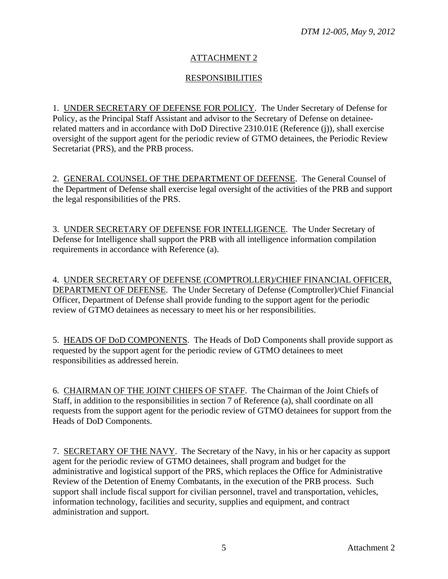# ATTACHMENT 2

# RESPONSIBILITIES

1. UNDER SECRETARY OF DEFENSE FOR POLICY. The Under Secretary of Defense for Policy, as the Principal Staff Assistant and advisor to the Secretary of Defense on detaineerelated matters and in accordance with DoD Directive 2310.01E (Reference (j)), shall exercise oversight of the support agent for the periodic review of GTMO detainees, the Periodic Review Secretariat (PRS), and the PRB process.

2. GENERAL COUNSEL OF THE DEPARTMENT OF DEFENSE. The General Counsel of the Department of Defense shall exercise legal oversight of the activities of the PRB and support the legal responsibilities of the PRS.

3. UNDER SECRETARY OF DEFENSE FOR INTELLIGENCE. The Under Secretary of Defense for Intelligence shall support the PRB with all intelligence information compilation requirements in accordance with Reference (a).

4. UNDER SECRETARY OF DEFENSE (COMPTROLLER)/CHIEF FINANCIAL OFFICER, DEPARTMENT OF DEFENSE. The Under Secretary of Defense (Comptroller)/Chief Financial Officer, Department of Defense shall provide funding to the support agent for the periodic review of GTMO detainees as necessary to meet his or her responsibilities.

5. HEADS OF DoD COMPONENTS. The Heads of DoD Components shall provide support as requested by the support agent for the periodic review of GTMO detainees to meet responsibilities as addressed herein.

6. CHAIRMAN OF THE JOINT CHIEFS OF STAFF. The Chairman of the Joint Chiefs of Staff, in addition to the responsibilities in section 7 of Reference (a), shall coordinate on all requests from the support agent for the periodic review of GTMO detainees for support from the Heads of DoD Components.

7. SECRETARY OF THE NAVY. The Secretary of the Navy, in his or her capacity as support agent for the periodic review of GTMO detainees, shall program and budget for the administrative and logistical support of the PRS, which replaces the Office for Administrative Review of the Detention of Enemy Combatants, in the execution of the PRB process. Such support shall include fiscal support for civilian personnel, travel and transportation, vehicles, information technology, facilities and security, supplies and equipment, and contract administration and support.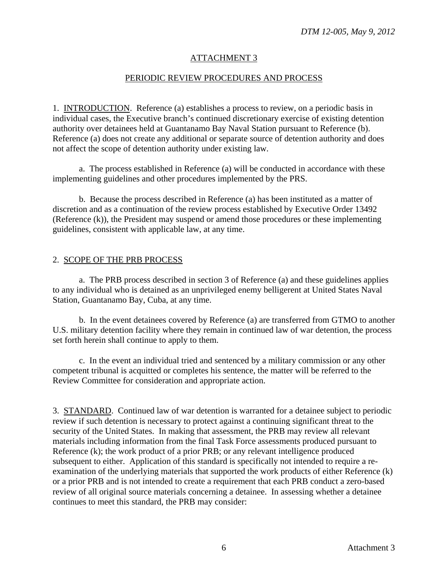## ATTACHMENT 3

### PERIODIC REVIEW PROCEDURES AND PROCESS

1. INTRODUCTION. Reference (a) establishes a process to review, on a periodic basis in individual cases, the Executive branch's continued discretionary exercise of existing detention authority over detainees held at Guantanamo Bay Naval Station pursuant to Reference (b). Reference (a) does not create any additional or separate source of detention authority and does not affect the scope of detention authority under existing law.

a. The process established in Reference (a) will be conducted in accordance with these implementing guidelines and other procedures implemented by the PRS.

b. Because the process described in Reference (a) has been instituted as a matter of discretion and as a continuation of the review process established by Executive Order 13492 (Reference (k)), the President may suspend or amend those procedures or these implementing guidelines, consistent with applicable law, at any time.

#### 2. SCOPE OF THE PRB PROCESS

a. The PRB process described in section 3 of Reference (a) and these guidelines applies to any individual who is detained as an unprivileged enemy belligerent at United States Naval Station, Guantanamo Bay, Cuba, at any time.

b. In the event detainees covered by Reference (a) are transferred from GTMO to another U.S. military detention facility where they remain in continued law of war detention, the process set forth herein shall continue to apply to them.

c. In the event an individual tried and sentenced by a military commission or any other competent tribunal is acquitted or completes his sentence, the matter will be referred to the Review Committee for consideration and appropriate action.

3. STANDARD. Continued law of war detention is warranted for a detainee subject to periodic review if such detention is necessary to protect against a continuing significant threat to the security of the United States. In making that assessment, the PRB may review all relevant materials including information from the final Task Force assessments produced pursuant to Reference (k); the work product of a prior PRB; or any relevant intelligence produced subsequent to either. Application of this standard is specifically not intended to require a reexamination of the underlying materials that supported the work products of either Reference (k) or a prior PRB and is not intended to create a requirement that each PRB conduct a zero-based review of all original source materials concerning a detainee. In assessing whether a detainee continues to meet this standard, the PRB may consider: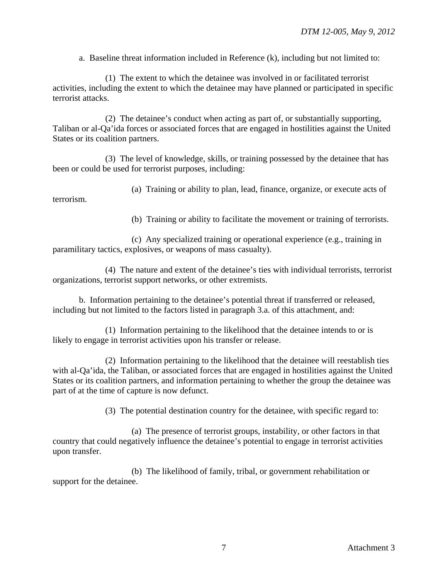a. Baseline threat information included in Reference (k), including but not limited to:

(1) The extent to which the detainee was involved in or facilitated terrorist activities, including the extent to which the detainee may have planned or participated in specific terrorist attacks.

(2) The detainee's conduct when acting as part of, or substantially supporting, Taliban or al-Qa'ida forces or associated forces that are engaged in hostilities against the United States or its coalition partners.

(3) The level of knowledge, skills, or training possessed by the detainee that has been or could be used for terrorist purposes, including:

(a) Training or ability to plan, lead, finance, organize, or execute acts of terrorism.

(b) Training or ability to facilitate the movement or training of terrorists.

(c) Any specialized training or operational experience (e.g., training in paramilitary tactics, explosives, or weapons of mass casualty).

(4) The nature and extent of the detainee's ties with individual terrorists, terrorist organizations, terrorist support networks, or other extremists.

b. Information pertaining to the detainee's potential threat if transferred or released, including but not limited to the factors listed in paragraph 3.a. of this attachment, and:

(1) Information pertaining to the likelihood that the detainee intends to or is likely to engage in terrorist activities upon his transfer or release.

(2) Information pertaining to the likelihood that the detainee will reestablish ties with al-Qa'ida, the Taliban, or associated forces that are engaged in hostilities against the United States or its coalition partners, and information pertaining to whether the group the detainee was part of at the time of capture is now defunct.

(3) The potential destination country for the detainee, with specific regard to:

(a) The presence of terrorist groups, instability, or other factors in that country that could negatively influence the detainee's potential to engage in terrorist activities upon transfer.

(b) The likelihood of family, tribal, or government rehabilitation or support for the detainee.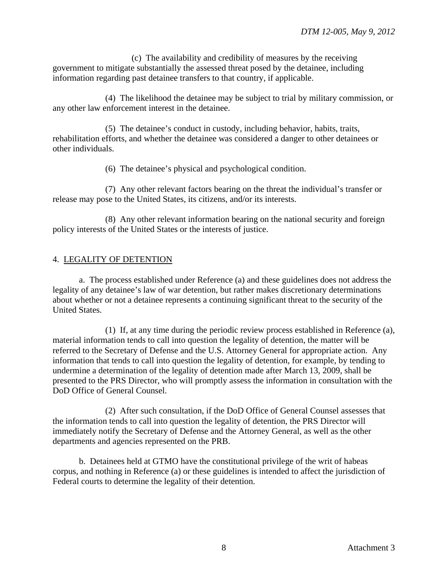(c) The availability and credibility of measures by the receiving government to mitigate substantially the assessed threat posed by the detainee, including information regarding past detainee transfers to that country, if applicable.

(4) The likelihood the detainee may be subject to trial by military commission, or any other law enforcement interest in the detainee.

(5) The detainee's conduct in custody, including behavior, habits, traits, rehabilitation efforts, and whether the detainee was considered a danger to other detainees or other individuals.

(6) The detainee's physical and psychological condition.

(7) Any other relevant factors bearing on the threat the individual's transfer or release may pose to the United States, its citizens, and/or its interests.

(8) Any other relevant information bearing on the national security and foreign policy interests of the United States or the interests of justice.

# 4. LEGALITY OF DETENTION

a. The process established under Reference (a) and these guidelines does not address the legality of any detainee's law of war detention, but rather makes discretionary determinations about whether or not a detainee represents a continuing significant threat to the security of the United States.

(1) If, at any time during the periodic review process established in Reference (a), material information tends to call into question the legality of detention, the matter will be referred to the Secretary of Defense and the U.S. Attorney General for appropriate action. Any information that tends to call into question the legality of detention, for example, by tending to undermine a determination of the legality of detention made after March 13, 2009, shall be presented to the PRS Director, who will promptly assess the information in consultation with the DoD Office of General Counsel.

(2) After such consultation, if the DoD Office of General Counsel assesses that the information tends to call into question the legality of detention, the PRS Director will immediately notify the Secretary of Defense and the Attorney General, as well as the other departments and agencies represented on the PRB.

b. Detainees held at GTMO have the constitutional privilege of the writ of habeas corpus, and nothing in Reference (a) or these guidelines is intended to affect the jurisdiction of Federal courts to determine the legality of their detention.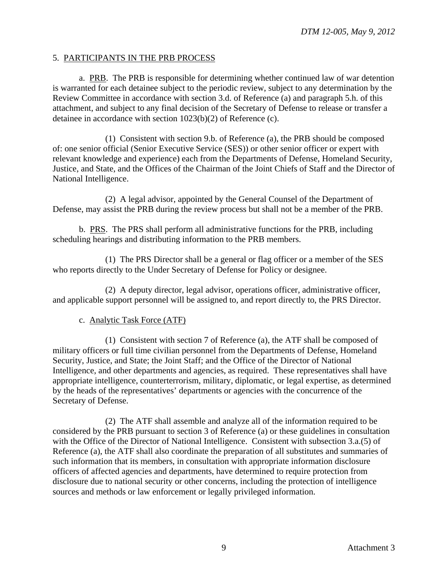### 5. PARTICIPANTS IN THE PRB PROCESS

a. PRB. The PRB is responsible for determining whether continued law of war detention is warranted for each detainee subject to the periodic review, subject to any determination by the Review Committee in accordance with section 3.d. of Reference (a) and paragraph 5.h. of this attachment, and subject to any final decision of the Secretary of Defense to release or transfer a detainee in accordance with section 1023(b)(2) of Reference (c).

(1) Consistent with section 9.b. of Reference (a), the PRB should be composed of: one senior official (Senior Executive Service (SES)) or other senior officer or expert with relevant knowledge and experience) each from the Departments of Defense, Homeland Security, Justice, and State, and the Offices of the Chairman of the Joint Chiefs of Staff and the Director of National Intelligence.

(2) A legal advisor, appointed by the General Counsel of the Department of Defense, may assist the PRB during the review process but shall not be a member of the PRB.

b. PRS. The PRS shall perform all administrative functions for the PRB, including scheduling hearings and distributing information to the PRB members.

(1) The PRS Director shall be a general or flag officer or a member of the SES who reports directly to the Under Secretary of Defense for Policy or designee.

(2) A deputy director, legal advisor, operations officer, administrative officer, and applicable support personnel will be assigned to, and report directly to, the PRS Director.

# c. Analytic Task Force (ATF)

(1) Consistent with section 7 of Reference (a), the ATF shall be composed of military officers or full time civilian personnel from the Departments of Defense, Homeland Security, Justice, and State; the Joint Staff; and the Office of the Director of National Intelligence, and other departments and agencies, as required. These representatives shall have appropriate intelligence, counterterrorism, military, diplomatic, or legal expertise, as determined by the heads of the representatives' departments or agencies with the concurrence of the Secretary of Defense.

(2) The ATF shall assemble and analyze all of the information required to be considered by the PRB pursuant to section 3 of Reference (a) or these guidelines in consultation with the Office of the Director of National Intelligence. Consistent with subsection 3.a.(5) of Reference (a), the ATF shall also coordinate the preparation of all substitutes and summaries of such information that its members, in consultation with appropriate information disclosure officers of affected agencies and departments, have determined to require protection from disclosure due to national security or other concerns, including the protection of intelligence sources and methods or law enforcement or legally privileged information.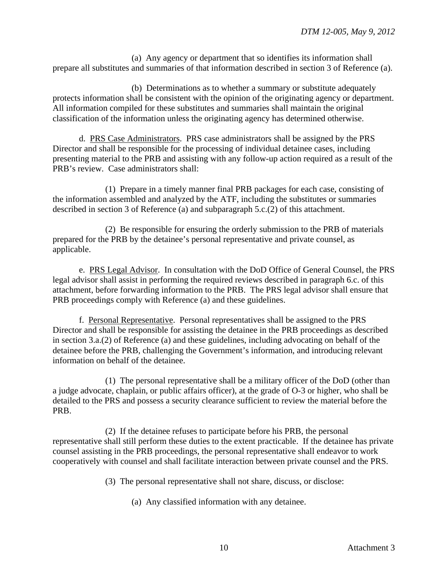(a) Any agency or department that so identifies its information shall prepare all substitutes and summaries of that information described in section 3 of Reference (a).

(b) Determinations as to whether a summary or substitute adequately protects information shall be consistent with the opinion of the originating agency or department. All information compiled for these substitutes and summaries shall maintain the original classification of the information unless the originating agency has determined otherwise.

d. PRS Case Administrators. PRS case administrators shall be assigned by the PRS Director and shall be responsible for the processing of individual detainee cases, including presenting material to the PRB and assisting with any follow-up action required as a result of the PRB's review. Case administrators shall:

(1) Prepare in a timely manner final PRB packages for each case, consisting of the information assembled and analyzed by the ATF, including the substitutes or summaries described in section 3 of Reference (a) and subparagraph 5.c.(2) of this attachment.

(2) Be responsible for ensuring the orderly submission to the PRB of materials prepared for the PRB by the detainee's personal representative and private counsel, as applicable.

e. PRS Legal Advisor. In consultation with the DoD Office of General Counsel, the PRS legal advisor shall assist in performing the required reviews described in paragraph 6.c. of this attachment, before forwarding information to the PRB. The PRS legal advisor shall ensure that PRB proceedings comply with Reference (a) and these guidelines.

f. Personal Representative. Personal representatives shall be assigned to the PRS Director and shall be responsible for assisting the detainee in the PRB proceedings as described in section 3.a.(2) of Reference (a) and these guidelines, including advocating on behalf of the detainee before the PRB, challenging the Government's information, and introducing relevant information on behalf of the detainee.

(1) The personal representative shall be a military officer of the DoD (other than a judge advocate, chaplain, or public affairs officer), at the grade of O-3 or higher, who shall be detailed to the PRS and possess a security clearance sufficient to review the material before the PRB.

(2) If the detainee refuses to participate before his PRB, the personal representative shall still perform these duties to the extent practicable. If the detainee has private counsel assisting in the PRB proceedings, the personal representative shall endeavor to work cooperatively with counsel and shall facilitate interaction between private counsel and the PRS.

(3) The personal representative shall not share, discuss, or disclose:

(a) Any classified information with any detainee.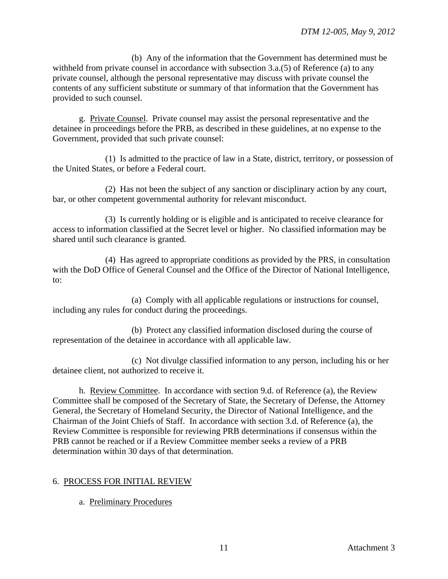(b) Any of the information that the Government has determined must be withheld from private counsel in accordance with subsection 3.a.(5) of Reference (a) to any private counsel, although the personal representative may discuss with private counsel the contents of any sufficient substitute or summary of that information that the Government has provided to such counsel.

g. Private Counsel. Private counsel may assist the personal representative and the detainee in proceedings before the PRB, as described in these guidelines, at no expense to the Government, provided that such private counsel:

(1) Is admitted to the practice of law in a State, district, territory, or possession of the United States, or before a Federal court.

(2) Has not been the subject of any sanction or disciplinary action by any court, bar, or other competent governmental authority for relevant misconduct.

(3) Is currently holding or is eligible and is anticipated to receive clearance for access to information classified at the Secret level or higher. No classified information may be shared until such clearance is granted.

(4) Has agreed to appropriate conditions as provided by the PRS, in consultation with the DoD Office of General Counsel and the Office of the Director of National Intelligence, to:

(a) Comply with all applicable regulations or instructions for counsel, including any rules for conduct during the proceedings.

(b) Protect any classified information disclosed during the course of representation of the detainee in accordance with all applicable law.

(c) Not divulge classified information to any person, including his or her detainee client, not authorized to receive it.

h. Review Committee. In accordance with section 9.d. of Reference (a), the Review Committee shall be composed of the Secretary of State, the Secretary of Defense, the Attorney General, the Secretary of Homeland Security, the Director of National Intelligence, and the Chairman of the Joint Chiefs of Staff. In accordance with section 3.d. of Reference (a), the Review Committee is responsible for reviewing PRB determinations if consensus within the PRB cannot be reached or if a Review Committee member seeks a review of a PRB determination within 30 days of that determination.

# 6. PROCESS FOR INITIAL REVIEW

a. Preliminary Procedures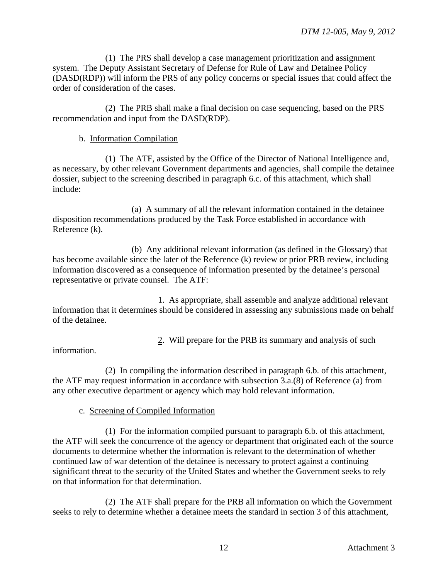(1) The PRS shall develop a case management prioritization and assignment system. The Deputy Assistant Secretary of Defense for Rule of Law and Detainee Policy (DASD(RDP)) will inform the PRS of any policy concerns or special issues that could affect the order of consideration of the cases.

(2) The PRB shall make a final decision on case sequencing, based on the PRS recommendation and input from the DASD(RDP).

## b. Information Compilation

(1) The ATF, assisted by the Office of the Director of National Intelligence and, as necessary, by other relevant Government departments and agencies, shall compile the detainee dossier, subject to the screening described in paragraph 6.c. of this attachment, which shall include:

(a) A summary of all the relevant information contained in the detainee disposition recommendations produced by the Task Force established in accordance with Reference (k).

(b) Any additional relevant information (as defined in the Glossary) that has become available since the later of the Reference (k) review or prior PRB review, including information discovered as a consequence of information presented by the detainee's personal representative or private counsel. The ATF:

1. As appropriate, shall assemble and analyze additional relevant information that it determines should be considered in assessing any submissions made on behalf of the detainee.

2. Will prepare for the PRB its summary and analysis of such

information.

(2) In compiling the information described in paragraph 6.b. of this attachment, the ATF may request information in accordance with subsection 3.a.(8) of Reference (a) from any other executive department or agency which may hold relevant information.

### c. Screening of Compiled Information

(1) For the information compiled pursuant to paragraph 6.b. of this attachment, the ATF will seek the concurrence of the agency or department that originated each of the source documents to determine whether the information is relevant to the determination of whether continued law of war detention of the detainee is necessary to protect against a continuing significant threat to the security of the United States and whether the Government seeks to rely on that information for that determination.

(2) The ATF shall prepare for the PRB all information on which the Government seeks to rely to determine whether a detainee meets the standard in section 3 of this attachment,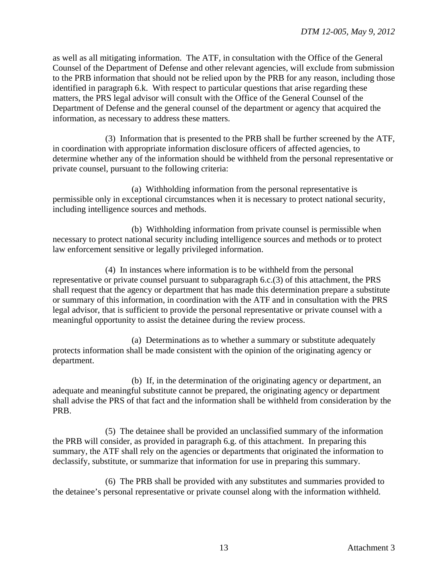as well as all mitigating information. The ATF, in consultation with the Office of the General Counsel of the Department of Defense and other relevant agencies, will exclude from submission to the PRB information that should not be relied upon by the PRB for any reason, including those identified in paragraph 6.k. With respect to particular questions that arise regarding these matters, the PRS legal advisor will consult with the Office of the General Counsel of the Department of Defense and the general counsel of the department or agency that acquired the information, as necessary to address these matters.

(3) Information that is presented to the PRB shall be further screened by the ATF, in coordination with appropriate information disclosure officers of affected agencies, to determine whether any of the information should be withheld from the personal representative or private counsel, pursuant to the following criteria:

(a) Withholding information from the personal representative is permissible only in exceptional circumstances when it is necessary to protect national security, including intelligence sources and methods.

(b) Withholding information from private counsel is permissible when necessary to protect national security including intelligence sources and methods or to protect law enforcement sensitive or legally privileged information.

(4) In instances where information is to be withheld from the personal representative or private counsel pursuant to subparagraph 6.c.(3) of this attachment, the PRS shall request that the agency or department that has made this determination prepare a substitute or summary of this information, in coordination with the ATF and in consultation with the PRS legal advisor, that is sufficient to provide the personal representative or private counsel with a meaningful opportunity to assist the detainee during the review process.

(a) Determinations as to whether a summary or substitute adequately protects information shall be made consistent with the opinion of the originating agency or department.

(b) If, in the determination of the originating agency or department, an adequate and meaningful substitute cannot be prepared, the originating agency or department shall advise the PRS of that fact and the information shall be withheld from consideration by the PRB.

(5) The detainee shall be provided an unclassified summary of the information the PRB will consider, as provided in paragraph 6.g. of this attachment. In preparing this summary, the ATF shall rely on the agencies or departments that originated the information to declassify, substitute, or summarize that information for use in preparing this summary.

(6) The PRB shall be provided with any substitutes and summaries provided to the detainee's personal representative or private counsel along with the information withheld.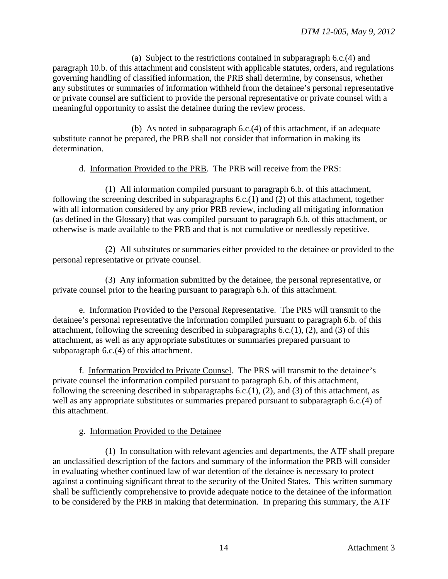(a) Subject to the restrictions contained in subparagraph 6.c.(4) and paragraph 10.b. of this attachment and consistent with applicable statutes, orders, and regulations governing handling of classified information, the PRB shall determine, by consensus, whether any substitutes or summaries of information withheld from the detainee's personal representative or private counsel are sufficient to provide the personal representative or private counsel with a meaningful opportunity to assist the detainee during the review process.

(b) As noted in subparagraph 6.c.(4) of this attachment, if an adequate substitute cannot be prepared, the PRB shall not consider that information in making its determination.

### d. Information Provided to the PRB. The PRB will receive from the PRS:

(1) All information compiled pursuant to paragraph 6.b. of this attachment, following the screening described in subparagraphs 6.c.(1) and (2) of this attachment, together with all information considered by any prior PRB review, including all mitigating information (as defined in the Glossary) that was compiled pursuant to paragraph 6.b. of this attachment, or otherwise is made available to the PRB and that is not cumulative or needlessly repetitive.

(2) All substitutes or summaries either provided to the detainee or provided to the personal representative or private counsel.

(3) Any information submitted by the detainee, the personal representative, or private counsel prior to the hearing pursuant to paragraph 6.h. of this attachment.

e. Information Provided to the Personal Representative. The PRS will transmit to the detainee's personal representative the information compiled pursuant to paragraph 6.b. of this attachment, following the screening described in subparagraphs 6.c.(1), (2), and (3) of this attachment, as well as any appropriate substitutes or summaries prepared pursuant to subparagraph 6.c.(4) of this attachment.

f. Information Provided to Private Counsel. The PRS will transmit to the detainee's private counsel the information compiled pursuant to paragraph 6.b. of this attachment, following the screening described in subparagraphs  $6.c.(1)$ ,  $(2)$ , and  $(3)$  of this attachment, as well as any appropriate substitutes or summaries prepared pursuant to subparagraph 6.c.(4) of this attachment.

g. Information Provided to the Detainee

(1) In consultation with relevant agencies and departments, the ATF shall prepare an unclassified description of the factors and summary of the information the PRB will consider in evaluating whether continued law of war detention of the detainee is necessary to protect against a continuing significant threat to the security of the United States. This written summary shall be sufficiently comprehensive to provide adequate notice to the detainee of the information to be considered by the PRB in making that determination. In preparing this summary, the ATF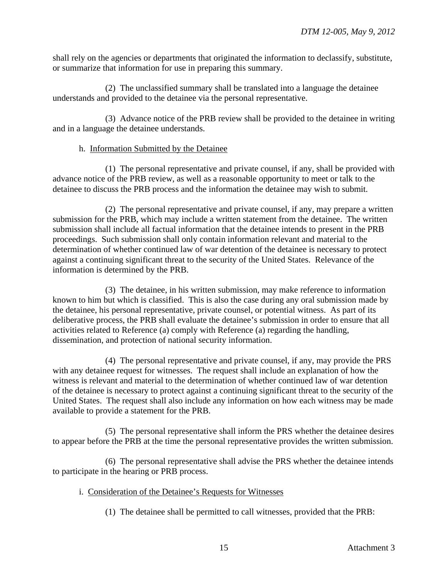shall rely on the agencies or departments that originated the information to declassify, substitute, or summarize that information for use in preparing this summary.

(2) The unclassified summary shall be translated into a language the detainee understands and provided to the detainee via the personal representative.

(3) Advance notice of the PRB review shall be provided to the detainee in writing and in a language the detainee understands.

## h. Information Submitted by the Detainee

(1) The personal representative and private counsel, if any, shall be provided with advance notice of the PRB review, as well as a reasonable opportunity to meet or talk to the detainee to discuss the PRB process and the information the detainee may wish to submit.

(2) The personal representative and private counsel, if any, may prepare a written submission for the PRB, which may include a written statement from the detainee. The written submission shall include all factual information that the detainee intends to present in the PRB proceedings. Such submission shall only contain information relevant and material to the determination of whether continued law of war detention of the detainee is necessary to protect against a continuing significant threat to the security of the United States. Relevance of the information is determined by the PRB.

(3) The detainee, in his written submission, may make reference to information known to him but which is classified. This is also the case during any oral submission made by the detainee, his personal representative, private counsel, or potential witness. As part of its deliberative process, the PRB shall evaluate the detainee's submission in order to ensure that all activities related to Reference (a) comply with Reference (a) regarding the handling, dissemination, and protection of national security information.

(4) The personal representative and private counsel, if any, may provide the PRS with any detainee request for witnesses. The request shall include an explanation of how the witness is relevant and material to the determination of whether continued law of war detention of the detainee is necessary to protect against a continuing significant threat to the security of the United States. The request shall also include any information on how each witness may be made available to provide a statement for the PRB.

(5) The personal representative shall inform the PRS whether the detainee desires to appear before the PRB at the time the personal representative provides the written submission.

(6) The personal representative shall advise the PRS whether the detainee intends to participate in the hearing or PRB process.

- i. Consideration of the Detainee's Requests for Witnesses
	- (1) The detainee shall be permitted to call witnesses, provided that the PRB: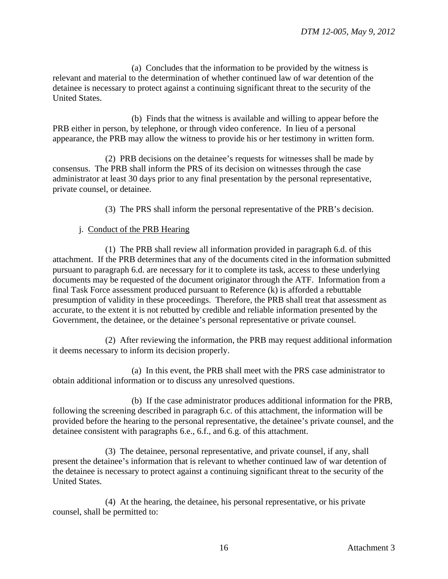(a) Concludes that the information to be provided by the witness is relevant and material to the determination of whether continued law of war detention of the detainee is necessary to protect against a continuing significant threat to the security of the United States.

(b) Finds that the witness is available and willing to appear before the PRB either in person, by telephone, or through video conference. In lieu of a personal appearance, the PRB may allow the witness to provide his or her testimony in written form.

(2) PRB decisions on the detainee's requests for witnesses shall be made by consensus. The PRB shall inform the PRS of its decision on witnesses through the case administrator at least 30 days prior to any final presentation by the personal representative, private counsel, or detainee.

(3) The PRS shall inform the personal representative of the PRB's decision.

### j. Conduct of the PRB Hearing

(1) The PRB shall review all information provided in paragraph 6.d. of this attachment. If the PRB determines that any of the documents cited in the information submitted pursuant to paragraph 6.d. are necessary for it to complete its task, access to these underlying documents may be requested of the document originator through the ATF. Information from a final Task Force assessment produced pursuant to Reference (k) is afforded a rebuttable presumption of validity in these proceedings. Therefore, the PRB shall treat that assessment as accurate, to the extent it is not rebutted by credible and reliable information presented by the Government, the detainee, or the detainee's personal representative or private counsel.

(2) After reviewing the information, the PRB may request additional information it deems necessary to inform its decision properly.

(a) In this event, the PRB shall meet with the PRS case administrator to obtain additional information or to discuss any unresolved questions.

(b) If the case administrator produces additional information for the PRB, following the screening described in paragraph 6.c. of this attachment, the information will be provided before the hearing to the personal representative, the detainee's private counsel, and the detainee consistent with paragraphs 6.e., 6.f., and 6.g. of this attachment.

(3) The detainee, personal representative, and private counsel, if any, shall present the detainee's information that is relevant to whether continued law of war detention of the detainee is necessary to protect against a continuing significant threat to the security of the United States.

(4) At the hearing, the detainee, his personal representative, or his private counsel, shall be permitted to: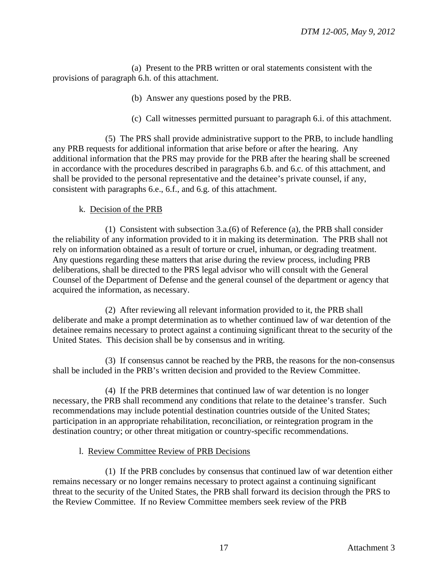(a) Present to the PRB written or oral statements consistent with the provisions of paragraph 6.h. of this attachment.

- (b) Answer any questions posed by the PRB.
- (c) Call witnesses permitted pursuant to paragraph 6.i. of this attachment.

(5) The PRS shall provide administrative support to the PRB, to include handling any PRB requests for additional information that arise before or after the hearing. Any additional information that the PRS may provide for the PRB after the hearing shall be screened in accordance with the procedures described in paragraphs 6.b. and 6.c. of this attachment, and shall be provided to the personal representative and the detainee's private counsel, if any, consistent with paragraphs 6.e., 6.f., and 6.g. of this attachment.

k. Decision of the PRB

(1) Consistent with subsection 3.a.(6) of Reference (a), the PRB shall consider the reliability of any information provided to it in making its determination. The PRB shall not rely on information obtained as a result of torture or cruel, inhuman, or degrading treatment. Any questions regarding these matters that arise during the review process, including PRB deliberations, shall be directed to the PRS legal advisor who will consult with the General Counsel of the Department of Defense and the general counsel of the department or agency that acquired the information, as necessary.

(2) After reviewing all relevant information provided to it, the PRB shall deliberate and make a prompt determination as to whether continued law of war detention of the detainee remains necessary to protect against a continuing significant threat to the security of the United States. This decision shall be by consensus and in writing.

(3) If consensus cannot be reached by the PRB, the reasons for the non-consensus shall be included in the PRB's written decision and provided to the Review Committee.

(4) If the PRB determines that continued law of war detention is no longer necessary, the PRB shall recommend any conditions that relate to the detainee's transfer. Such recommendations may include potential destination countries outside of the United States; participation in an appropriate rehabilitation, reconciliation, or reintegration program in the destination country; or other threat mitigation or country-specific recommendations.

### l. Review Committee Review of PRB Decisions

(1) If the PRB concludes by consensus that continued law of war detention either remains necessary or no longer remains necessary to protect against a continuing significant threat to the security of the United States, the PRB shall forward its decision through the PRS to the Review Committee. If no Review Committee members seek review of the PRB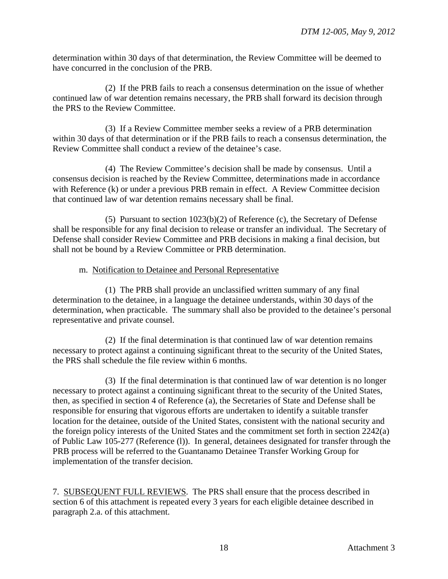determination within 30 days of that determination, the Review Committee will be deemed to have concurred in the conclusion of the PRB.

(2) If the PRB fails to reach a consensus determination on the issue of whether continued law of war detention remains necessary, the PRB shall forward its decision through the PRS to the Review Committee.

(3) If a Review Committee member seeks a review of a PRB determination within 30 days of that determination or if the PRB fails to reach a consensus determination, the Review Committee shall conduct a review of the detainee's case.

(4) The Review Committee's decision shall be made by consensus. Until a consensus decision is reached by the Review Committee, determinations made in accordance with Reference (k) or under a previous PRB remain in effect. A Review Committee decision that continued law of war detention remains necessary shall be final.

(5) Pursuant to section 1023(b)(2) of Reference (c), the Secretary of Defense shall be responsible for any final decision to release or transfer an individual. The Secretary of Defense shall consider Review Committee and PRB decisions in making a final decision, but shall not be bound by a Review Committee or PRB determination.

### m. Notification to Detainee and Personal Representative

(1) The PRB shall provide an unclassified written summary of any final determination to the detainee, in a language the detainee understands, within 30 days of the determination, when practicable. The summary shall also be provided to the detainee's personal representative and private counsel.

(2) If the final determination is that continued law of war detention remains necessary to protect against a continuing significant threat to the security of the United States, the PRS shall schedule the file review within 6 months.

(3) If the final determination is that continued law of war detention is no longer necessary to protect against a continuing significant threat to the security of the United States, then, as specified in section 4 of Reference (a), the Secretaries of State and Defense shall be responsible for ensuring that vigorous efforts are undertaken to identify a suitable transfer location for the detainee, outside of the United States, consistent with the national security and the foreign policy interests of the United States and the commitment set forth in section 2242(a) of Public Law 105-277 (Reference (l)). In general, detainees designated for transfer through the PRB process will be referred to the Guantanamo Detainee Transfer Working Group for implementation of the transfer decision.

7. SUBSEQUENT FULL REVIEWS. The PRS shall ensure that the process described in section 6 of this attachment is repeated every 3 years for each eligible detainee described in paragraph 2.a. of this attachment.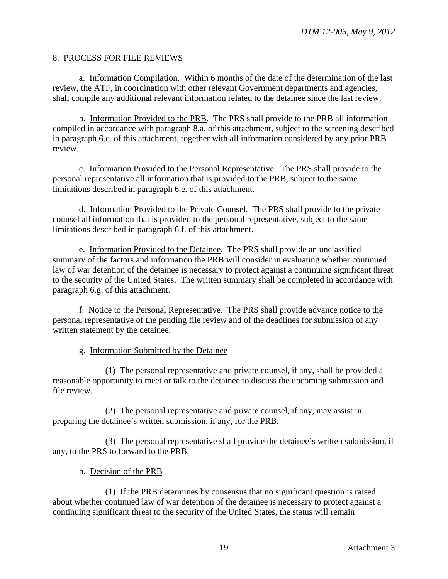### 8. PROCESS FOR FILE REVIEWS

a. Information Compilation. Within 6 months of the date of the determination of the last review, the ATF, in coordination with other relevant Government departments and agencies, shall compile any additional relevant information related to the detainee since the last review.

b. Information Provided to the PRB. The PRS shall provide to the PRB all information compiled in accordance with paragraph 8.a. of this attachment, subject to the screening described in paragraph 6.c. of this attachment, together with all information considered by any prior PRB review.

c. Information Provided to the Personal Representative. The PRS shall provide to the personal representative all information that is provided to the PRB, subject to the same limitations described in paragraph 6.e. of this attachment.

d. Information Provided to the Private Counsel. The PRS shall provide to the private counsel all information that is provided to the personal representative, subject to the same limitations described in paragraph 6.f. of this attachment.

e. Information Provided to the Detainee. The PRS shall provide an unclassified summary of the factors and information the PRB will consider in evaluating whether continued law of war detention of the detainee is necessary to protect against a continuing significant threat to the security of the United States. The written summary shall be completed in accordance with paragraph 6.g. of this attachment.

f. Notice to the Personal Representative. The PRS shall provide advance notice to the personal representative of the pending file review and of the deadlines for submission of any written statement by the detainee.

### g. Information Submitted by the Detainee

(1) The personal representative and private counsel, if any, shall be provided a reasonable opportunity to meet or talk to the detainee to discuss the upcoming submission and file review.

(2) The personal representative and private counsel, if any, may assist in preparing the detainee's written submission, if any, for the PRB.

(3) The personal representative shall provide the detainee's written submission, if any, to the PRS to forward to the PRB.

### h. Decision of the PRB

(1) If the PRB determines by consensus that no significant question is raised about whether continued law of war detention of the detainee is necessary to protect against a continuing significant threat to the security of the United States, the status will remain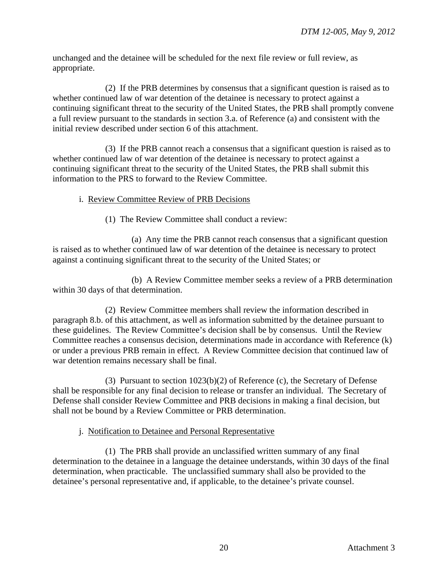unchanged and the detainee will be scheduled for the next file review or full review, as appropriate.

(2) If the PRB determines by consensus that a significant question is raised as to whether continued law of war detention of the detainee is necessary to protect against a continuing significant threat to the security of the United States, the PRB shall promptly convene a full review pursuant to the standards in section 3.a. of Reference (a) and consistent with the initial review described under section 6 of this attachment.

(3) If the PRB cannot reach a consensus that a significant question is raised as to whether continued law of war detention of the detainee is necessary to protect against a continuing significant threat to the security of the United States, the PRB shall submit this information to the PRS to forward to the Review Committee.

## i. Review Committee Review of PRB Decisions

(1) The Review Committee shall conduct a review:

(a) Any time the PRB cannot reach consensus that a significant question is raised as to whether continued law of war detention of the detainee is necessary to protect against a continuing significant threat to the security of the United States; or

(b) A Review Committee member seeks a review of a PRB determination within 30 days of that determination.

(2) Review Committee members shall review the information described in paragraph 8.b. of this attachment, as well as information submitted by the detainee pursuant to these guidelines. The Review Committee's decision shall be by consensus. Until the Review Committee reaches a consensus decision, determinations made in accordance with Reference (k) or under a previous PRB remain in effect. A Review Committee decision that continued law of war detention remains necessary shall be final.

(3) Pursuant to section 1023(b)(2) of Reference (c), the Secretary of Defense shall be responsible for any final decision to release or transfer an individual. The Secretary of Defense shall consider Review Committee and PRB decisions in making a final decision, but shall not be bound by a Review Committee or PRB determination.

### j. Notification to Detainee and Personal Representative

(1) The PRB shall provide an unclassified written summary of any final determination to the detainee in a language the detainee understands, within 30 days of the final determination, when practicable. The unclassified summary shall also be provided to the detainee's personal representative and, if applicable, to the detainee's private counsel.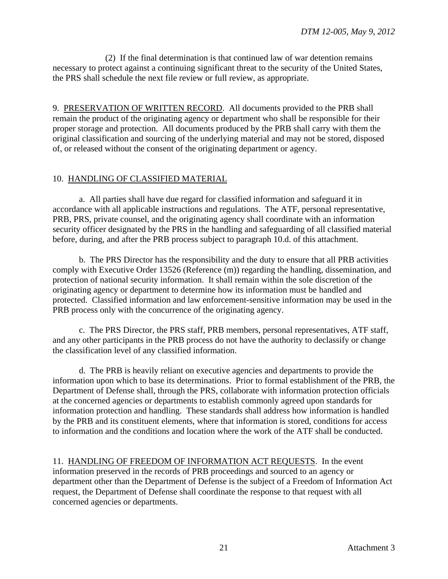(2) If the final determination is that continued law of war detention remains necessary to protect against a continuing significant threat to the security of the United States, the PRS shall schedule the next file review or full review, as appropriate.

9. PRESERVATION OF WRITTEN RECORD. All documents provided to the PRB shall remain the product of the originating agency or department who shall be responsible for their proper storage and protection. All documents produced by the PRB shall carry with them the original classification and sourcing of the underlying material and may not be stored, disposed of, or released without the consent of the originating department or agency.

## 10. HANDLING OF CLASSIFIED MATERIAL

a. All parties shall have due regard for classified information and safeguard it in accordance with all applicable instructions and regulations. The ATF, personal representative, PRB, PRS, private counsel, and the originating agency shall coordinate with an information security officer designated by the PRS in the handling and safeguarding of all classified material before, during, and after the PRB process subject to paragraph 10.d. of this attachment.

b. The PRS Director has the responsibility and the duty to ensure that all PRB activities comply with Executive Order 13526 (Reference (m)) regarding the handling, dissemination, and protection of national security information. It shall remain within the sole discretion of the originating agency or department to determine how its information must be handled and protected. Classified information and law enforcement-sensitive information may be used in the PRB process only with the concurrence of the originating agency.

c. The PRS Director, the PRS staff, PRB members, personal representatives, ATF staff, and any other participants in the PRB process do not have the authority to declassify or change the classification level of any classified information.

d. The PRB is heavily reliant on executive agencies and departments to provide the information upon which to base its determinations. Prior to formal establishment of the PRB, the Department of Defense shall, through the PRS, collaborate with information protection officials at the concerned agencies or departments to establish commonly agreed upon standards for information protection and handling. These standards shall address how information is handled by the PRB and its constituent elements, where that information is stored, conditions for access to information and the conditions and location where the work of the ATF shall be conducted.

11. HANDLING OF FREEDOM OF INFORMATION ACT REQUESTS. In the event information preserved in the records of PRB proceedings and sourced to an agency or department other than the Department of Defense is the subject of a Freedom of Information Act request, the Department of Defense shall coordinate the response to that request with all concerned agencies or departments.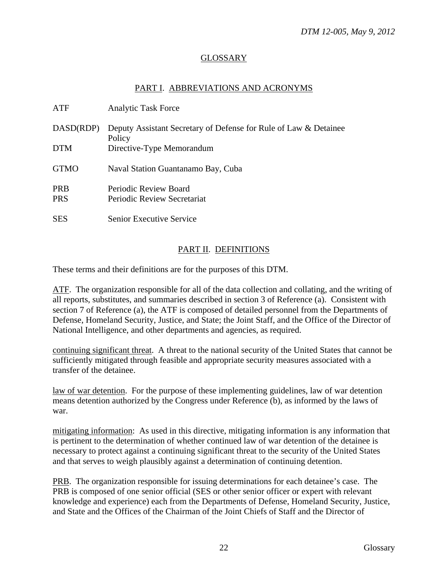## GLOSSARY

## PART I. ABBREVIATIONS AND ACRONYMS

| ATF         | <b>Analytic Task Force</b>                                                 |
|-------------|----------------------------------------------------------------------------|
| DASD(RDP)   | Deputy Assistant Secretary of Defense for Rule of Law & Detainee<br>Policy |
| <b>DTM</b>  | Directive-Type Memorandum                                                  |
| <b>GTMO</b> | Naval Station Guantanamo Bay, Cuba                                         |
| <b>PRB</b>  | Periodic Review Board                                                      |
| <b>PRS</b>  | Periodic Review Secretariat                                                |
| <b>SES</b>  | <b>Senior Executive Service</b>                                            |

## PART II. DEFINITIONS

These terms and their definitions are for the purposes of this DTM.

ATF. The organization responsible for all of the data collection and collating, and the writing of all reports, substitutes, and summaries described in section 3 of Reference (a). Consistent with section 7 of Reference (a), the ATF is composed of detailed personnel from the Departments of Defense, Homeland Security, Justice, and State; the Joint Staff, and the Office of the Director of National Intelligence, and other departments and agencies, as required.

continuing significant threat. A threat to the national security of the United States that cannot be sufficiently mitigated through feasible and appropriate security measures associated with a transfer of the detainee.

law of war detention. For the purpose of these implementing guidelines, law of war detention means detention authorized by the Congress under Reference (b), as informed by the laws of war.

mitigating information: As used in this directive, mitigating information is any information that is pertinent to the determination of whether continued law of war detention of the detainee is necessary to protect against a continuing significant threat to the security of the United States and that serves to weigh plausibly against a determination of continuing detention.

PRB. The organization responsible for issuing determinations for each detainee's case. The PRB is composed of one senior official (SES or other senior officer or expert with relevant knowledge and experience) each from the Departments of Defense, Homeland Security, Justice, and State and the Offices of the Chairman of the Joint Chiefs of Staff and the Director of